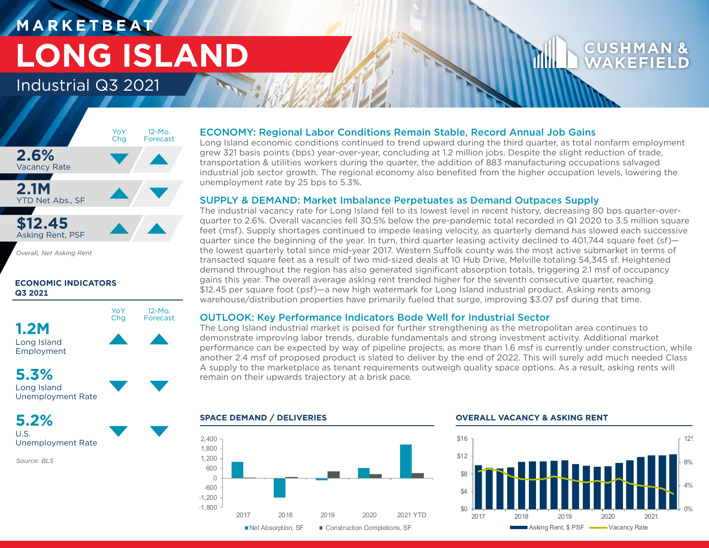# **M A R K E T B E AT LONG ISLAND**

### Industrial Q3 2021



*Overall, Net Asking Rent*

### **ECONOMIC INDICATORS Q3 2021**



## **5.3%**

Long Island Unemployment Rate

**5.2%** U.S.

Unemployment Rate

*Source: BLS*

### ECONOMY: Regional Labor Conditions Remain Stable, Record Annual Job Gains

Long Island economic conditions continued to trend upward during the third quarter, as total nonfarm employment grew 321 basis points (bps) year-over-year, concluding at 1.2 million jobs. Despite the slight reduction of trade, transportation & utilities workers during the quarter, the addition of 883 manufacturing occupations salvaged industrial job sector growth. The regional economy also benefited from the higher occupation levels, lowering the unemployment rate by 25 bps to 5.3%.

### SUPPLY & DEMAND: Market Imbalance Perpetuates as Demand Outpaces Supply

The industrial vacancy rate for Long Island fell to its lowest level in recent history, decreasing 80 bps quarter-overquarter to 2.6%. Overall vacancies fell 30.5% below the pre-pandemic total recorded in Q1 2020 to 3.5 million square feet (msf). Supply shortages continued to impede leasing velocity, as quarterly demand has slowed each successive quarter since the beginning of the year. In turn, third quarter leasing activity declined to 401,744 square feet (sf) the lowest quarterly total since mid-year 2017. Western Suffolk county was the most active submarket in terms of transacted square feet as a result of two mid-sized deals at 10 Hub Drive, Melville totaling 54,345 sf. Heightened demand throughout the region has also generated significant absorption totals, triggering 2.1 msf of occupancy gains this year. The overall average asking rent trended higher for the seventh consecutive quarter, reaching \$12.45 per square foot (psf)—a new high watermark for Long Island industrial product. Asking rents among warehouse/distribution properties have primarily fueled that surge, improving \$3.07 psf during that time.

### OUTLOOK: Key Performance Indicators Bode Well for Industrial Sector

The Long Island industrial market is poised for further strengthening as the metropolitan area continues to demonstrate improving labor trends, durable fundamentals and strong investment activity. Additional market performance can be expected by way of pipeline projects, as more than 1.6 msf is currently under construction, while another 2.4 msf of proposed product is slated to deliver by the end of 2022. This will surely add much needed Class A supply to the marketplace as tenant requirements outweigh quality space options. As a result, asking rents will remain on their upwards trajectory at a brisk pace.



### **SPACE DEMAND / DELIVERIES OVERALL VACANCY & ASKING RENT**



# WAKEF